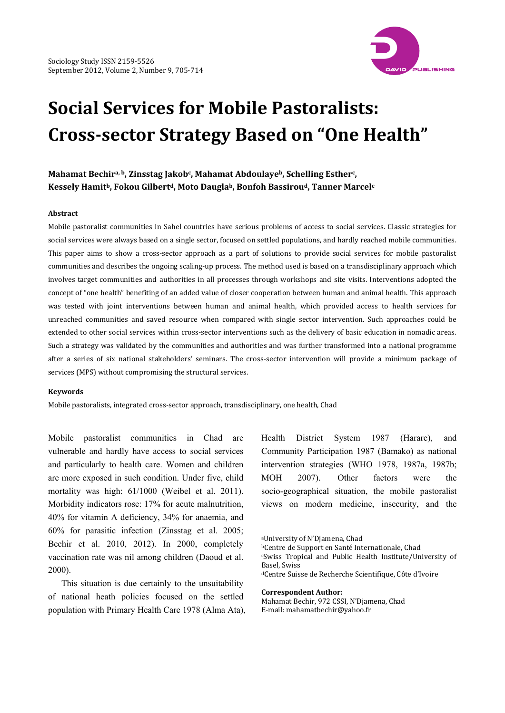

# **Social Services for Mobile Pastoralists: Crosssector Strategy Based on "One Health"**

**Mahamat Bechira, b, Zinsstag Jakobc, Mahamat Abdoulayeb, Schelling Estherc, Kessely Hamitb, Fokou Gilbertd, Moto Dauglab, Bonfoh Bassiroud, Tanner Marcelc**

#### **Abstract**

Mobile pastoralist communities in Sahel countries have serious problems of access to social services. Classic strategies for social services were always based on a single sector, focused on settled populations, and hardly reached mobile communities. This paper aims to show a cross-sector approach as a part of solutions to provide social services for mobile pastoralist communities and describes the ongoing scaling‐up process. The method used is based on a transdisciplinary approach which involves target communities and authorities in all processes through workshops and site visits. Interventions adopted the concept of "one health" benefiting of an added value of closer cooperation between human and animal health. This approach was tested with joint interventions between human and animal health, which provided access to health services for unreached communities and saved resource when compared with single sector intervention. Such approaches could be extended to other social services within cross‐sector interventions such as the delivery of basic education in nomadic areas. Such a strategy was validated by the communities and authorities and was further transformed into a national programme after a series of six national stakeholders' seminars. The cross-sector intervention will provide a minimum package of services (MPS) without compromising the structural services.

#### **Keywords**

Mobile pastoralists, integrated cross‐sector approach, transdisciplinary, one health, Chad

Mobile pastoralist communities in Chad are vulnerable and hardly have access to social services and particularly to health care. Women and children are more exposed in such condition. Under five, child mortality was high: 61/1000 (Weibel et al. 2011). Morbidity indicators rose: 17% for acute malnutrition, 40% for vitamin A deficiency, 34% for anaemia, and 60% for parasitic infection (Zinsstag et al. 2005; Bechir et al. 2010, 2012). In 2000, completely vaccination rate was nil among children (Daoud et al. 2000).

This situation is due certainly to the unsuitability of national heath policies focused on the settled population with Primary Health Care 1978 (Alma Ata), Health District System 1987 (Harare), and Community Participation 1987 (Bamako) as national intervention strategies (WHO 1978, 1987a, 1987b; MOH 2007). Other factors were the socio-geographical situation, the mobile pastoralist views on modern medicine, insecurity, and the

-

**Correspondent Author:**

aUniversity of N'Djamena, Chad

bCentre de Support en Santé Internationale, Chad cSwiss Tropical and Public Health Institute/University of Basel, Swiss

dCentre Suisse de Recherche Scientifique, Côte d'Ivoire

Mahamat Bechir, 972 CSSI, N'Djamena, Chad E‐mail: mahamatbechir@yahoo.fr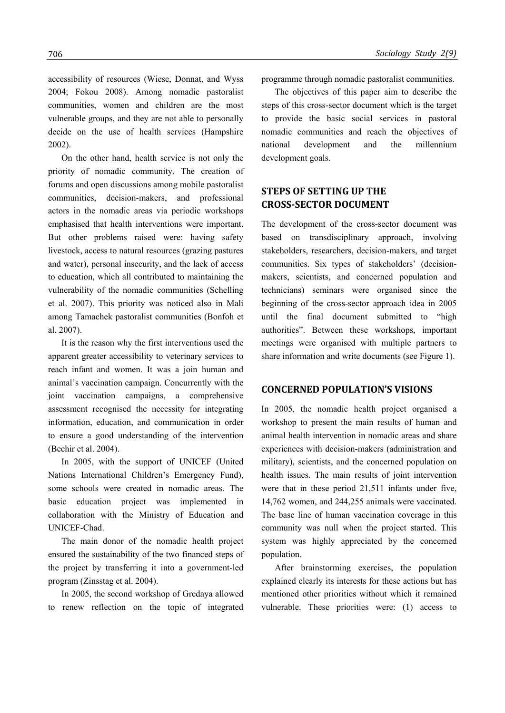accessibility of resources (Wiese, Donnat, and Wyss 2004; Fokou 2008). Among nomadic pastoralist communities, women and children are the most vulnerable groups, and they are not able to personally decide on the use of health services (Hampshire 2002).

On the other hand, health service is not only the priority of nomadic community. The creation of forums and open discussions among mobile pastoralist communities, decision-makers, and professional actors in the nomadic areas via periodic workshops emphasised that health interventions were important. But other problems raised were: having safety livestock, access to natural resources (grazing pastures and water), personal insecurity, and the lack of access to education, which all contributed to maintaining the vulnerability of the nomadic communities (Schelling et al. 2007). This priority was noticed also in Mali among Tamachek pastoralist communities (Bonfoh et al. 2007).

It is the reason why the first interventions used the apparent greater accessibility to veterinary services to reach infant and women. It was a join human and animal's vaccination campaign. Concurrently with the joint vaccination campaigns, a comprehensive assessment recognised the necessity for integrating information, education, and communication in order to ensure a good understanding of the intervention (Bechir et al. 2004).

In 2005, with the support of UNICEF (United Nations International Children's Emergency Fund), some schools were created in nomadic areas. The basic education project was implemented in collaboration with the Ministry of Education and UNICEF-Chad.

The main donor of the nomadic health project ensured the sustainability of the two financed steps of the project by transferring it into a government-led program (Zinsstag et al. 2004).

In 2005, the second workshop of Gredaya allowed to renew reflection on the topic of integrated programme through nomadic pastoralist communities.

The objectives of this paper aim to describe the steps of this cross-sector document which is the target to provide the basic social services in pastoral nomadic communities and reach the objectives of national development and the millennium development goals.

# **STEPS OF SETTING UP THE CROSSSECTOR DOCUMENT**

The development of the cross-sector document was based on transdisciplinary approach, involving stakeholders, researchers, decision-makers, and target communities. Six types of stakeholders' (decisionmakers, scientists, and concerned population and technicians) seminars were organised since the beginning of the cross-sector approach idea in 2005 until the final document submitted to "high authorities". Between these workshops, important meetings were organised with multiple partners to share information and write documents (see Figure 1).

#### **CONCERNED POPULATION'S VISIONS**

In 2005, the nomadic health project organised a workshop to present the main results of human and animal health intervention in nomadic areas and share experiences with decision-makers (administration and military), scientists, and the concerned population on health issues. The main results of joint intervention were that in these period 21,511 infants under five, 14,762 women, and 244,255 animals were vaccinated. The base line of human vaccination coverage in this community was null when the project started. This system was highly appreciated by the concerned population.

After brainstorming exercises, the population explained clearly its interests for these actions but has mentioned other priorities without which it remained vulnerable. These priorities were: (1) access to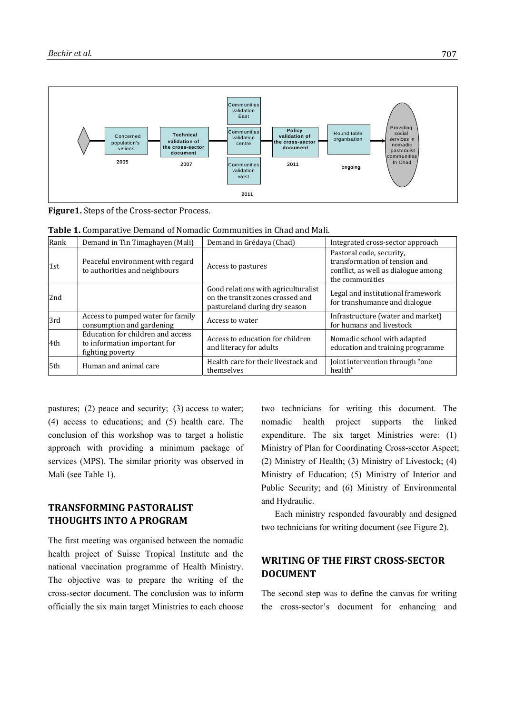

**Figure1.** Steps of the Cross‐sector Process.

| Table 1. Comparative Demand of Nomadic Communities in Chad and Mali. |        |  |                             |  |  |
|----------------------------------------------------------------------|--------|--|-----------------------------|--|--|
|                                                                      | $\Box$ |  | $\overline{1}$ The detector |  |  |

| Rank | Demand in Tin Timaghayen (Mali)                                                       | Demand in Grédaya (Chad)                                                                                 | Integrated cross-sector approach                                                                                    |
|------|---------------------------------------------------------------------------------------|----------------------------------------------------------------------------------------------------------|---------------------------------------------------------------------------------------------------------------------|
| 1st  | Peaceful environment with regard<br>to authorities and neighbours                     | Access to pastures                                                                                       | Pastoral code, security,<br>transformation of tension and<br>conflict, as well as dialogue among<br>the communities |
| 2nd  |                                                                                       | Good relations with agriculturalist<br>on the transit zones crossed and<br>pastureland during dry season | Legal and institutional framework<br>for transhumance and dialogue                                                  |
| 3rd  | Access to pumped water for family<br>consumption and gardening                        | Access to water                                                                                          | Infrastructure (water and market)<br>for humans and livestock                                                       |
| l4th | Education for children and access<br>to information important for<br>fighting poverty | Access to education for children<br>and literacy for adults                                              | Nomadic school with adapted<br>education and training programme                                                     |
| 5th  | Human and animal care                                                                 | Health care for their livestock and<br>themselves                                                        | Joint intervention through "one"<br>health"                                                                         |

pastures; (2) peace and security; (3) access to water; (4) access to educations; and (5) health care. The conclusion of this workshop was to target a holistic approach with providing a minimum package of services (MPS). The similar priority was observed in Mali (see Table 1).

# **TRANSFORMING PASTORALIST THOUGHTS INTO A PROGRAM**

The first meeting was organised between the nomadic health project of Suisse Tropical Institute and the national vaccination programme of Health Ministry. The objective was to prepare the writing of the cross-sector document. The conclusion was to inform officially the six main target Ministries to each choose

two technicians for writing this document. The nomadic health project supports the linked expenditure. The six target Ministries were: (1) Ministry of Plan for Coordinating Cross-sector Aspect; (2) Ministry of Health; (3) Ministry of Livestock; (4) Ministry of Education; (5) Ministry of Interior and Public Security; and (6) Ministry of Environmental and Hydraulic.

Each ministry responded favourably and designed two technicians for writing document (see Figure 2).

# **WRITING OF THE FIRST CROSSSECTOR DOCUMENT**

The second step was to define the canvas for writing the cross-sector's document for enhancing and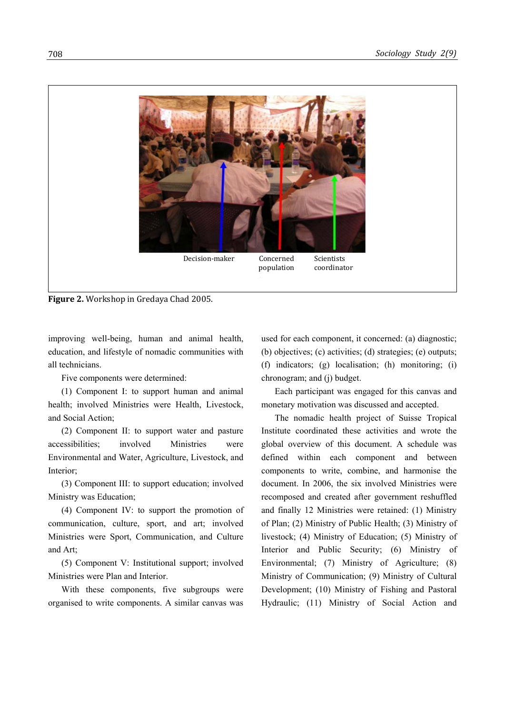

**Figure 2.** Workshop in Gredaya Chad 2005.

improving well-being, human and animal health, education, and lifestyle of nomadic communities with all technicians.

Five components were determined:

(1) Component I: to support human and animal health; involved Ministries were Health, Livestock, and Social Action;

(2) Component II: to support water and pasture accessibilities; involved Ministries were Environmental and Water, Agriculture, Livestock, and Interior;

(3) Component III: to support education; involved Ministry was Education;

(4) Component IV: to support the promotion of communication, culture, sport, and art; involved Ministries were Sport, Communication, and Culture and Art;

(5) Component V: Institutional support; involved Ministries were Plan and Interior.

With these components, five subgroups were organised to write components. A similar canvas was used for each component, it concerned: (a) diagnostic; (b) objectives; (c) activities; (d) strategies; (e) outputs; (f) indicators; (g) localisation; (h) monitoring; (i) chronogram; and (j) budget.

Each participant was engaged for this canvas and monetary motivation was discussed and accepted.

The nomadic health project of Suisse Tropical Institute coordinated these activities and wrote the global overview of this document. A schedule was defined within each component and between components to write, combine, and harmonise the document. In 2006, the six involved Ministries were recomposed and created after government reshuffled and finally 12 Ministries were retained: (1) Ministry of Plan; (2) Ministry of Public Health; (3) Ministry of livestock; (4) Ministry of Education; (5) Ministry of Interior and Public Security; (6) Ministry of Environmental; (7) Ministry of Agriculture; (8) Ministry of Communication; (9) Ministry of Cultural Development; (10) Ministry of Fishing and Pastoral Hydraulic; (11) Ministry of Social Action and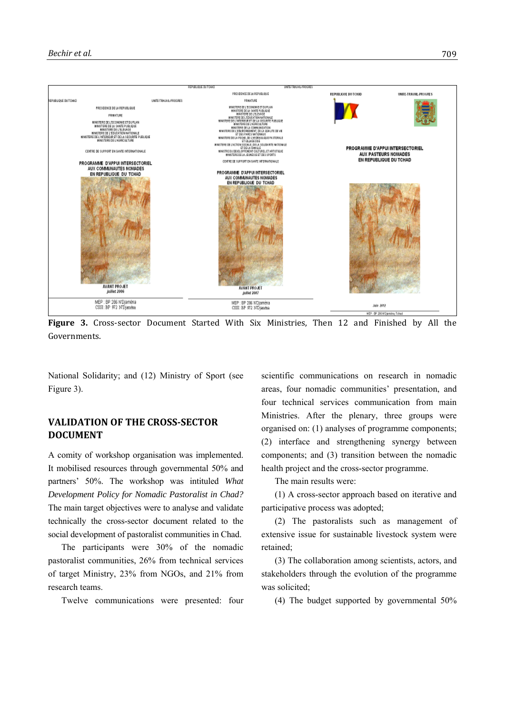

**Figure** 3. Cross-sector Document Started With Six Ministries, Then 12 and Finished by All the Governments.

National Solidarity; and (12) Ministry of Sport (see Figure 3).

# **VALIDATION OF THE CROSSSECTOR DOCUMENT**

A comity of workshop organisation was implemented. It mobilised resources through governmental 50% and partners' 50%. The workshop was intituled *What Development Policy for Nomadic Pastoralist in Chad?* The main target objectives were to analyse and validate technically the cross-sector document related to the social development of pastoralist communities in Chad.

The participants were 30% of the nomadic pastoralist communities, 26% from technical services of target Ministry, 23% from NGOs, and 21% from research teams.

Twelve communications were presented: four

scientific communications on research in nomadic areas, four nomadic communities' presentation, and four technical services communication from main Ministries. After the plenary, three groups were organised on: (1) analyses of programme components; (2) interface and strengthening synergy between components; and (3) transition between the nomadic health project and the cross-sector programme.

The main results were:

(1) A cross-sector approach based on iterative and participative process was adopted;

(2) The pastoralists such as management of extensive issue for sustainable livestock system were retained;

(3) The collaboration among scientists, actors, and stakeholders through the evolution of the programme was solicited;

(4) The budget supported by governmental 50%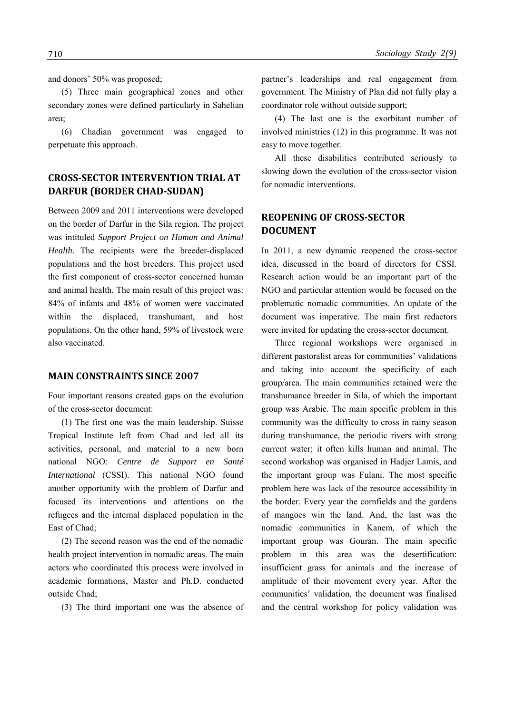and donors' 50% was proposed;

(5) Three main geographical zones and other secondary zones were defined particularly in Sahelian area;

(6) Chadian government was engaged to perpetuate this approach.

## **CROSSSECTOR INTERVENTION TRIAL AT DARFUR (BORDER CHADSUDAN)**

Between 2009 and 2011 interventions were developed on the border of Darfur in the Sila region. The project was intituled *Support Project on Human and Animal Health*. The recipients were the breeder-displaced populations and the host breeders. This project used the first component of cross-sector concerned human and animal health. The main result of this project was: 84% of infants and 48% of women were vaccinated within the displaced, transhumant, and host populations. On the other hand, 59% of livestock were also vaccinated.

#### **MAIN CONSTRAINTS SINCE 2007**

Four important reasons created gaps on the evolution of the cross-sector document:

(1) The first one was the main leadership. Suisse Tropical Institute left from Chad and led all its activities, personal, and material to a new born national NGO: *Centre de Support en Santé International* (CSSI). This national NGO found another opportunity with the problem of Darfur and focused its interventions and attentions on the refugees and the internal displaced population in the East of Chad;

(2) The second reason was the end of the nomadic health project intervention in nomadic areas. The main actors who coordinated this process were involved in academic formations, Master and Ph.D. conducted outside Chad;

(3) The third important one was the absence of

partner's leaderships and real engagement from government. The Ministry of Plan did not fully play a coordinator role without outside support;

(4) The last one is the exorbitant number of involved ministries (12) in this programme. It was not easy to move together.

All these disabilities contributed seriously to slowing down the evolution of the cross-sector vision for nomadic interventions.

## **REOPENING OF CROSSSECTOR DOCUMENT**

In 2011, a new dynamic reopened the cross-sector idea, discussed in the board of directors for CSSI. Research action would be an important part of the NGO and particular attention would be focused on the problematic nomadic communities. An update of the document was imperative. The main first redactors were invited for updating the cross-sector document.

Three regional workshops were organised in different pastoralist areas for communities' validations and taking into account the specificity of each group/area. The main communities retained were the transhumance breeder in Sila, of which the important group was Arabic. The main specific problem in this community was the difficulty to cross in rainy season during transhumance, the periodic rivers with strong current water; it often kills human and animal. The second workshop was organised in Hadjer Lamis, and the important group was Fulani. The most specific problem here was lack of the resource accessibility in the border. Every year the cornfields and the gardens of mangoes win the land. And, the last was the nomadic communities in Kanem, of which the important group was Gouran. The main specific problem in this area was the desertification: insufficient grass for animals and the increase of amplitude of their movement every year. After the communities' validation, the document was finalised and the central workshop for policy validation was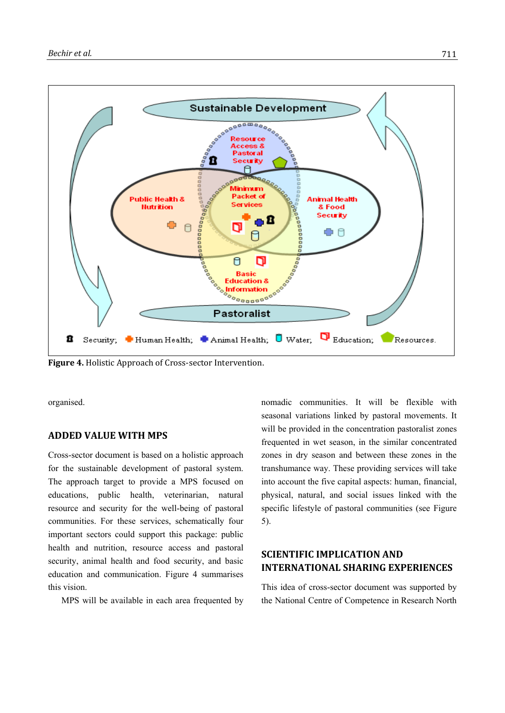

**Figure 4.** Holistic Approach of Cross‐sector Intervention.

organised.

### **ADDED VALUE WITH MPS**

Cross-sector document is based on a holistic approach for the sustainable development of pastoral system. The approach target to provide a MPS focused on educations, public health, veterinarian, natural resource and security for the well-being of pastoral communities. For these services, schematically four important sectors could support this package: public health and nutrition, resource access and pastoral security, animal health and food security, and basic education and communication. Figure 4 summarises this vision.

MPS will be available in each area frequented by

nomadic communities. It will be flexible with seasonal variations linked by pastoral movements. It will be provided in the concentration pastoralist zones frequented in wet season, in the similar concentrated zones in dry season and between these zones in the transhumance way. These providing services will take into account the five capital aspects: human, financial, physical, natural, and social issues linked with the specific lifestyle of pastoral communities (see Figure 5).

## **SCIENTIFIC IMPLICATION AND INTERNATIONAL SHARING EXPERIENCES**

This idea of cross-sector document was supported by the National Centre of Competence in Research North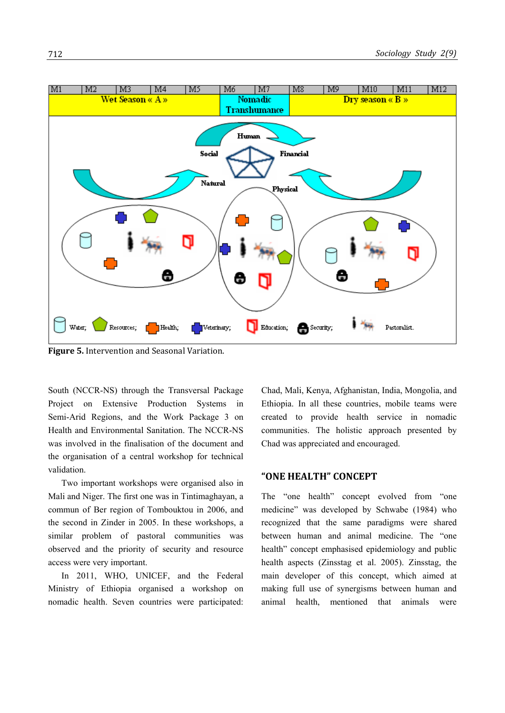

**Figure 5.** Intervention and Seasonal Variation.

South (NCCR-NS) through the Transversal Package Project on Extensive Production Systems in Semi-Arid Regions, and the Work Package 3 on Health and Environmental Sanitation. The NCCR-NS was involved in the finalisation of the document and the organisation of a central workshop for technical validation.

Two important workshops were organised also in Mali and Niger. The first one was in Tintimaghayan, a commun of Ber region of Tombouktou in 2006, and the second in Zinder in 2005. In these workshops, a similar problem of pastoral communities was observed and the priority of security and resource access were very important.

In 2011, WHO, UNICEF, and the Federal Ministry of Ethiopia organised a workshop on nomadic health. Seven countries were participated: Chad, Mali, Kenya, Afghanistan, India, Mongolia, and Ethiopia. In all these countries, mobile teams were created to provide health service in nomadic communities. The holistic approach presented by Chad was appreciated and encouraged.

### **"ONE HEALTH" CONCEPT**

The "one health" concept evolved from "one medicine" was developed by Schwabe (1984) who recognized that the same paradigms were shared between human and animal medicine. The "one health" concept emphasised epidemiology and public health aspects (Zinsstag et al. 2005). Zinsstag, the main developer of this concept, which aimed at making full use of synergisms between human and animal health, mentioned that animals were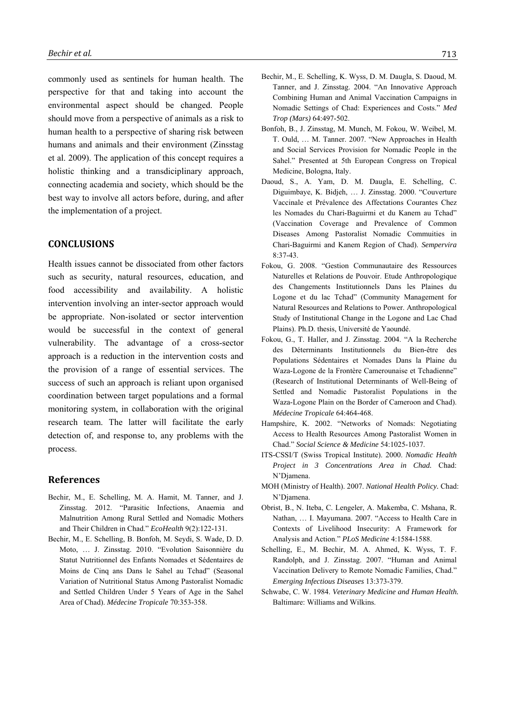commonly used as sentinels for human health. The perspective for that and taking into account the environmental aspect should be changed. People should move from a perspective of animals as a risk to human health to a perspective of sharing risk between humans and animals and their environment (Zinsstag et al. 2009). The application of this concept requires a holistic thinking and a transdiciplinary approach, connecting academia and society, which should be the best way to involve all actors before, during, and after the implementation of a project.

#### **CONCLUSIONS**

Health issues cannot be dissociated from other factors such as security, natural resources, education, and food accessibility and availability. A holistic intervention involving an inter-sector approach would be appropriate. Non-isolated or sector intervention would be successful in the context of general vulnerability. The advantage of a cross-sector approach is a reduction in the intervention costs and the provision of a range of essential services. The success of such an approach is reliant upon organised coordination between target populations and a formal monitoring system, in collaboration with the original research team. The latter will facilitate the early detection of, and response to, any problems with the process.

#### **References**

- Bechir, M., E. Schelling, M. A. Hamit, M. Tanner, and J. Zinsstag. 2012. "Parasitic Infections, Anaemia and Malnutrition Among Rural Settled and Nomadic Mothers and Their Children in Chad." *EcoHealth* 9(2):122-131.
- Bechir, M., E. Schelling, B. Bonfoh, M. Seydi, S. Wade, D. D. Moto, … J. Zinsstag. 2010. "Evolution Saisonnière du Statut Nutritionnel des Enfants Nomades et Sédentaires de Moins de Cinq ans Dans le Sahel au Tchad" (Seasonal Variation of Nutritional Status Among Pastoralist Nomadic and Settled Children Under 5 Years of Age in the Sahel Area of Chad). *Médecine Tropicale* 70:353-358.
- Bechir, M., E. Schelling, K. Wyss, D. M. Daugla, S. Daoud, M. Tanner, and J. Zinsstag. 2004. "An Innovative Approach Combining Human and Animal Vaccination Campaigns in Nomadic Settings of Chad: Experiences and Costs." *Med Trop (Mars)* 64:497-502.
- Bonfoh, B., J. Zinsstag, M. Munch, M. Fokou, W. Weibel, M. T. Ould, … M. Tanner. 2007. "New Approaches in Health and Social Services Provision for Nomadic People in the Sahel." Presented at 5th European Congress on Tropical Medicine, Bologna, Italy.
- Daoud, S., A. Yam, D. M. Daugla, E. Schelling, C. Diguimbaye, K. Bidjeh, … J. Zinsstag. 2000. "Couverture Vaccinale et Prévalence des Affectations Courantes Chez les Nomades du Chari-Baguirmi et du Kanem au Tchad" (Vaccination Coverage and Prevalence of Common Diseases Among Pastoralist Nomadic Commuities in Chari-Baguirmi and Kanem Region of Chad). *Sempervira* 8:37-43.
- Fokou, G. 2008. "Gestion Communautaire des Ressources Naturelles et Relations de Pouvoir. Etude Anthropologique des Changements Institutionnels Dans les Plaines du Logone et du lac Tchad" (Community Management for Natural Resources and Relations to Power. Anthropological Study of Institutional Change in the Logone and Lac Chad Plains). Ph.D. thesis, Université de Yaoundé.
- Fokou, G., T. Haller, and J. Zinsstag. 2004. "A la Recherche des Déterminants Institutionnels du Bien-être des Populations Sédentaires et Nomades Dans la Plaine du Waza-Logone de la Frontère Camerounaise et Tchadienne" (Research of Institutional Determinants of Well-Being of Settled and Nomadic Pastoralist Populations in the Waza-Logone Plain on the Border of Cameroon and Chad). *Médecine Tropicale* 64:464-468.
- Hampshire, K. 2002. "Networks of Nomads: Negotiating Access to Health Resources Among Pastoralist Women in Chad." *Social Science & Medicine* 54:1025-1037.
- ITS-CSSI/T (Swiss Tropical Institute). 2000. *Nomadic Health Project in 3 Concentrations Area in Chad.* Chad: N'Djamena.
- MOH (Ministry of Health). 2007. *National Health Policy.* Chad: N'Djamena.
- Obrist, B., N. Iteba, C. Lengeler, A. Makemba, C. Mshana, R. Nathan, … I. Mayumana. 2007. "Access to Health Care in Contexts of Livelihood Insecurity: A Framework for Analysis and Action." *PLoS Medicine* 4:1584-1588.
- Schelling, E., M. Bechir, M. A. Ahmed, K. Wyss, T. F. Randolph, and J. Zinsstag. 2007. "Human and Animal Vaccination Delivery to Remote Nomadic Families, Chad." *Emerging Infectious Diseases* 13:373-379.
- Schwabe, C. W. 1984. *Veterinary Medicine and Human Health.* Baltimare: Williams and Wilkins.